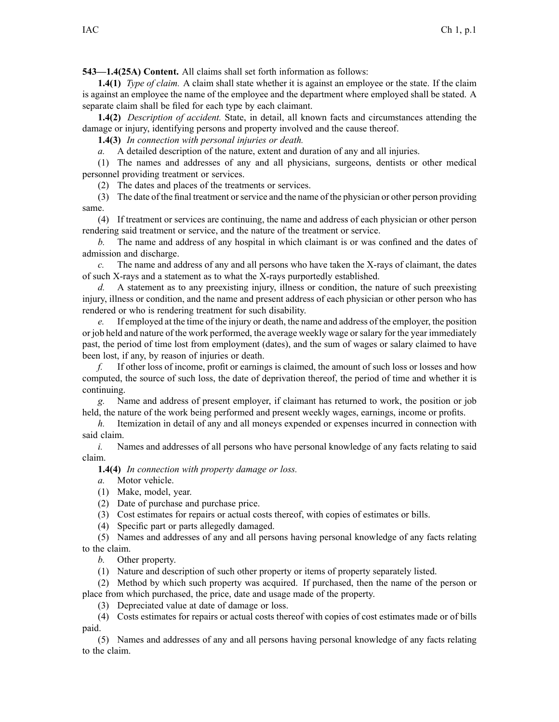**543—1.4(25A) Content.** All claims shall set forth information as follows:

**1.4(1)** *Type of claim.* A claim shall state whether it is against an employee or the state. If the claim is against an employee the name of the employee and the department where employed shall be stated. A separate claim shall be filed for each type by each claimant.

**1.4(2)** *Description of accident.* State, in detail, all known facts and circumstances attending the damage or injury, identifying persons and property involved and the cause thereof.

**1.4(3)** *In connection with personal injuries or death.*

*a.* A detailed description of the nature, extent and duration of any and all injuries.

(1) The names and addresses of any and all physicians, surgeons, dentists or other medical personnel providing treatment or services.

(2) The dates and places of the treatments or services.

(3) The date of the final treatment orservice and the name of the physician or other person providing same.

(4) If treatment or services are continuing, the name and address of each physician or other person rendering said treatment or service, and the nature of the treatment or service.

*b.* The name and address of any hospital in which claimant is or was confined and the dates of admission and discharge.

*c.* The name and address of any and all persons who have taken the X-rays of claimant, the dates of such X-rays and <sup>a</sup> statement as to what the X-rays purportedly established.

*d.* A statement as to any preexisting injury, illness or condition, the nature of such preexisting injury, illness or condition, and the name and presen<sup>t</sup> address of each physician or other person who has rendered or who is rendering treatment for such disability.

*e.* If employed at the time of the injury or death, the name and address of the employer, the position or job held and nature of the work performed, the average weekly wage orsalary for the year immediately past, the period of time lost from employment (dates), and the sum of wages or salary claimed to have been lost, if any, by reason of injuries or death.

*f.* If other loss of income, profit or earnings is claimed, the amount of such loss or losses and how computed, the source of such loss, the date of deprivation thereof, the period of time and whether it is continuing.

Name and address of present employer, if claimant has returned to work, the position or job held, the nature of the work being performed and presen<sup>t</sup> weekly wages, earnings, income or profits.

*h.* Itemization in detail of any and all moneys expended or expenses incurred in connection with said claim.

*i.* Names and addresses of all persons who have personal knowledge of any facts relating to said claim.

**1.4(4)** *In connection with property damage or loss.*

- *a.* Motor vehicle.
- (1) Make, model, year.
- (2) Date of purchase and purchase price.
- (3) Cost estimates for repairs or actual costs thereof, with copies of estimates or bills.
- (4) Specific par<sup>t</sup> or parts allegedly damaged.

(5) Names and addresses of any and all persons having personal knowledge of any facts relating to the claim.

*b.* Other property.

(1) Nature and description of such other property or items of property separately listed.

(2) Method by which such property was acquired. If purchased, then the name of the person or place from which purchased, the price, date and usage made of the property.

(3) Depreciated value at date of damage or loss.

(4) Costs estimates for repairs or actual costs thereof with copies of cost estimates made or of bills paid.

(5) Names and addresses of any and all persons having personal knowledge of any facts relating to the claim.